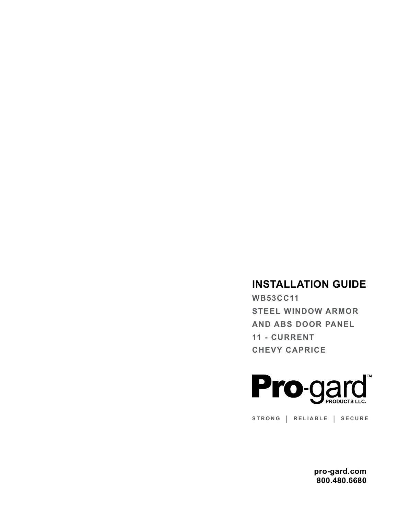## **INSTALLATION GUIDE**

**WB53CC11 STEEL WINDOW ARMOR AND ABS DOOR PANEL 11 - CURRENT CHEVY CAPRICE**



**STRONG | RELIABLE | SECURE**

**pro-gard.com 800.480.6680**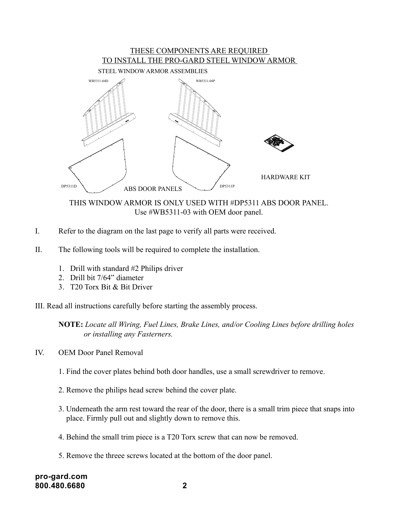## THESE COMPONENTS ARE REQUIRED TO INSTALL THE PRO-GARD STEEL WINDOW ARMOR



THIS WINDOW ARMOR IS ONLY USED WITH #DP5311 ABS DOOR PANEL. Use #WB5311-03 with OEM door panel.

- I. Refer to the diagram on the last page to verify all parts were received.
- II. The following tools will be required to complete the installation.
	- 1. Drill with standard #2 Philips driver
	- 2. Drill bit 7/64" diameter
	- 3. T20 Torx Bit & Bit Driver
- III. Read all instructions carefully before starting the assembly process.

**NOTE:** *Locate all Wiring, Fuel Lines, Brake Lines, and/or Cooling Lines before drilling holes or installing any Fasterners.*

- IV. OEM Door Panel Removal
	- 1. Find the cover plates behind both door handles, use a small screwdriver to remove.
	- 2. Remove the philips head screw behind the cover plate.
	- 3. Underneath the arm rest toward the rear of the door, there is a small trim piece that snaps into place. Firmly pull out and slightly down to remove this.
	- 4. Behind the small trim piece is a T20 Torx screw that can now be removed.
	- 5. Remove the threee screws located at the bottom of the door panel.

**pro-gard.com 800.480.6680 2**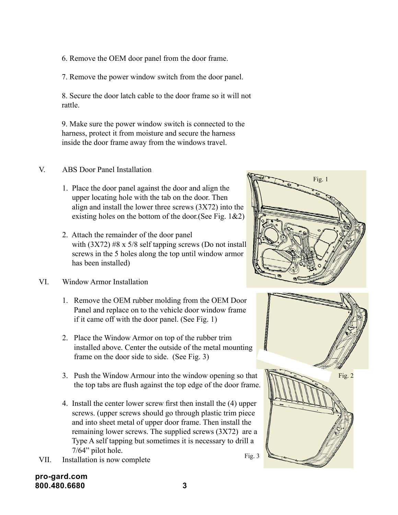6. Remove the OEM door panel from the door frame.

7. Remove the power window switch from the door panel.

8. Secure the door latch cable to the door frame so it will not rattle.

9. Make sure the power window switch is connected to the harness, protect it from moisture and secure the harness inside the door frame away from the windows travel.

## V. ABS Door Panel Installation

- 1. Place the door panel against the door and align the upper locating hole with the tab on the door. Then align and install the lower three screws (3X72) into the existing holes on the bottom of the door. (See Fig.  $1&2$ )
- 2. Attach the remainder of the door panel with  $(3X72)$  #8 x 5/8 self tapping screws (Do not install screws in the 5 holes along the top until window armor has been installed)
- VI. Window Armor Installation
	- 1. Remove the OEM rubber molding from the OEM Door Panel and replace on to the vehicle door window frame if it came off with the door panel. (See Fig. 1)
	- 2. Place the Window Armor on top of the rubber trim installed above. Center the outside of the metal mounting frame on the door side to side. (See Fig. 3)
	- 3. Push the Window Armour into the window opening so that the top tabs are flush against the top edge of the door frame.
	- 4. Install the center lower screw first then install the (4) upper screws. (upper screws should go through plastic trim piece and into sheet metal of upper door frame. Then install the remaining lower screws. The supplied screws (3X72) are a Type A self tapping but sometimes it is necessary to drill a 7/64" pilot hole. Fig. 3
- VII. Installation is now complete







## **pro-gard.com 800.480.6680 3**